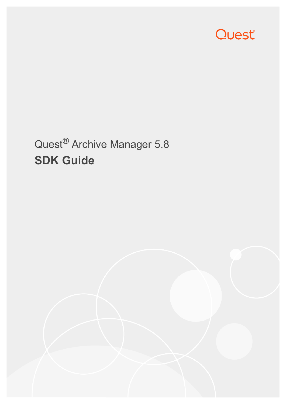

# Quest® Archive Manager 5.8 **SDK Guide**

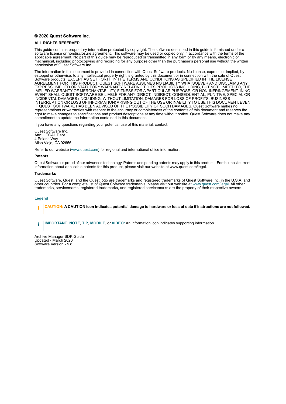#### **© 2020 Quest Software Inc.**

#### **ALL RIGHTS RESERVED.**

This guide contains proprietary information protected by copyright. The software described in this guide is furnished under a software license or nondisclosure agreement. This software may be used or copied only in accordance with the terms of the applicable agreement. No part of this guide may be reproduced or transmitted in any form or by any means, electronic or mechanical, including photocopying and recording for any purpose other than the purchaser's personal use without the written permission of Quest Software Inc.

The information in this document is provided in connection with Quest Software products. No license, express or implied, by estoppel or otherwise, to any intellectual property right is granted by this document or in connection with the sale of Quest<br>Software products. EXCEPT AS SET FORTH IN THE TERMS AND CONDITIONS AS SPECIFIED IN THE LICENSE<br>A EXPRESS, IMPLIED OR STATUTORY WARRANTY RELATING TO ITS PRODUCTS INCLUDING, BUT NOT LIMITED TO, THE IMPLIED WARRANTY OF MERCHANTABILITY, FITNESS FOR A PARTICULAR PURPOSE, OR NON-INFRINGEMENT. IN NO EVENT SHALL QUEST SOFTWARE BE LIABLE FOR ANY DIRECT, INDIRECT, CONSEQUENTIAL, PUNITIVE, SPECIAL OR INCIDENTAL DAMAGES (INCLUDING, WITHOUT LIMITATION, DAMAGES FOR LOSS OF PROFITS, BUSINESS<br>INTERRUPTION OR LOSS OF INFORMATION) ARISING OUT OF THE USE OR INABILITY TO USE THIS DOCUMENT, EVEN IF QUEST SOFTWARE HAS BEEN ADVISED OF THE POSSIBILITY OF SUCH DAMAGES. Quest Software makes no representations or warranties with respect to the accuracy or completeness of the contents of this document and reserves the right to make changes to specifications and product descriptions at any time without notice. Quest Software does not make any commitment to update the information contained in this document.

If you have any questions regarding your potential use of this material, contact:

Quest Software Inc. Attn: LEGAL Dept. 4 Polaris Way Aliso Viejo, CA 92656

Refer to our website [\(www.quest.com](http://www.quest.com)) for regional and international office information.

#### **Patents**

Quest Software is proud of our advanced technology. Patents and pending patents may apply to this product. For the most current information about applicable patents for this product, please visit our website at www.quest.com/legal.

#### **Trademarks**

Quest Software, Quest, and the Quest logo are trademarks and registered trademarks of Quest Software Inc. in the U.S.A. and other countries. For a complete list of Quest Software trademarks, please visit our website at [www.quest.com/legal](http://www.quest.com/legal). All other trademarks, servicemarks, registered trademarks, and registered servicemarks are the property of their respective owners.

#### **Legend**

**CAUTION: A CAUTION icon indicates potential damage to hardware or loss of data if instructions are not followed.** ţ

**IMPORTANT**, **NOTE**, **TIP**, **MOBILE**, or **VIDEO:** An information icon indicates supporting information.i

Archive Manager SDK Guide Updated - March 2020 Software Version - 5.8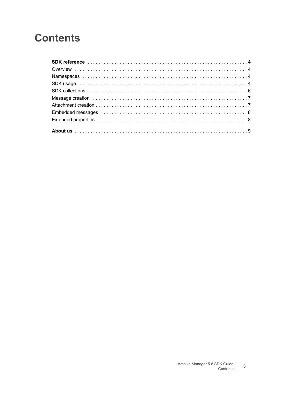### **Contents**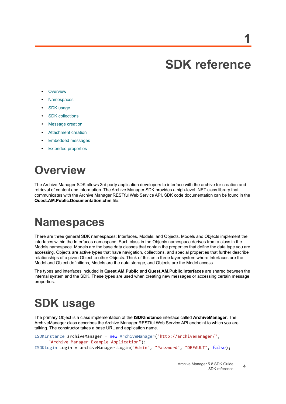# **SDK reference**

- <span id="page-3-0"></span>**•** [Overview](#page-3-1)
- **•** [Namespaces](#page-3-2)
- **•** [SDK usage](#page-3-3)
- **•** [SDK collections](#page-5-0)
- **•** [Message creation](#page-6-0)
- **•** [Attachment creation](#page-6-1)
- **•** [Embedded messages](#page-7-0)
- **•** [Extended properties](#page-7-1)

## <span id="page-3-1"></span>**Overview**

The Archive Manager SDK allows 3rd party application developers to interface with the archive for creation and retrieval of content and information. The Archive Manager SDK provides a high-level .NET class library that communicates with the Archive Manager RESTful Web Service API. SDK code documentation can be found in the **Quest.AM.Public.Documentation.chm** file.

## <span id="page-3-2"></span>**Namespaces**

There are three general SDK namespaces: Interfaces, Models, and Objects. Models and Objects implement the interfaces within the Interfaces namespace. Each class in the Objects namespace derives from a class in the Models namespace. Models are the base data classes that contain the properties that define the data type you are accessing. Objects are active types that have navigation, collections, and special properties that further describe relationships of a given Object to other Objects. Think of this as a three layer system where Interfaces are the Model and Object definitions, Models are the data storage, and Objects are the Model access.

The types and interfaces included in **Quest.AM.Public** and **Quest.AM.Public.Interfaces** are shared between the internal system and the SDK. These types are used when creating new messages or accessing certain message properties.

# <span id="page-3-3"></span>**SDK usage**

The primary Object is a class implementation of the **ISDKInstance** interface called **ArchiveManager**. The ArchiveManager class describes the Archive Manager RESTful Web Service API endpoint to which you are talking. The constructor takes a base URL and application name.

```
ISDKInstance archiveManager = new ArchiveManager("http://archivemanager/", 
      "Archive Manager Example Application");
ISDKLogin login = archiveManager.Login("Admin", "Password", "DEFAULT", false);
```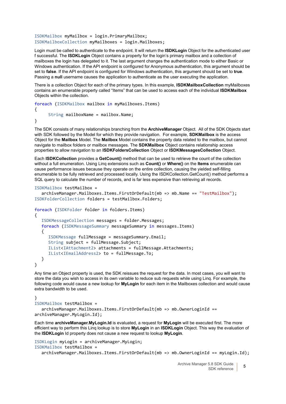ISDKMailbox myMailbox = login.PrimaryMailbox; ISDKMailboxCollection myMailboxes = login.Mailboxes;

Login must be called to authenticate to the endpoint. It will return the **ISDKLogin** Object for the authenticated user f successful. The **ISDKLogin** Object contains a property for the login's primary mailbox and a collection of mailboxes the login has delegated to it. The last argument changes the authentication mode to either Basic or Windows authentication. If the API endpoint is configured for Anonymous authentication, this argument should be set to **false**. If the API endpoint is configured for Windows authentication, this argument should be set to **true**. Passing a **null** username causes the application to authenticate as the user executing the application.

There is a collection Object for each of the primary types. In this example, **ISDKMailboxCollection** myMailboxes contains an enumerable property called "Items" that can be used to access each of the individual **ISDKMailbox** Objects within the collection.

foreach (ISDKMailbox mailbox in myMailboxes.Items) { String mailboxName = mailbox.Name; }

The SDK consists of many relationships branching from the **ArchiveManager** Object. All of the SDK Objects start with SDK followed by the Model for which they provide navigation. For example, **SDKMailbox** is the access Object for the **Mailbox** Model. The **Mailbox** Model contains the property data related to the mailbox, but cannot navigate to mailbox folders or mailbox messages. The **SDKMailbox** Object contains relationship access properties to allow navigation to an **ISDKFoldersCollection** Object or **ISDKMessagesCollection** Object.

Each **ISDKCollection** provides a **GetCount()** method that can be used to retrieve the count of the collection without a full enumeration. Using Linq extensions such as **Count()** or **Where()** on the **Items** enumerable can cause performance issues because they operate on the entire collection, causing the yielded self-filling enumerable to be fully retrieved and processed locally. Using the ISDKCollection.GetCount() method performs a SQL query to calculate the number of records, and is far less expensive than retrieving all records.

```
ISDKMailbox testMailbox =
```

```
archiveManager.Mailboxes.Items.FirstOrDefault(mb => mb.Name == "TestMailbox");
ISDKFolderCollection folders = testMailbox.Folders;
```

```
foreach (ISDKFolder folder in folders.Items)
{
  ISDKMessageCollection messages = folder.Messages;
  foreach (ISDKMessageSummary messageSummary in messages.Items)
   {
     ISDKMessage fullMessage = messageSummary.Email;
     String subject = fullMessage.Subject;
     IList<IAttachment2> attachments = fullMessage.Attachments;
     IList<IEmailAddress2> to = fullMessage.To;
  }
}
```
Any time an Object property is used, the SDK reissues the request for the data. In most cases, you will want to store the data you wish to access in its own variable to reduce sub requests while using Linq. For example, the following code would cause a new lookup for **MyLogin** for each item in the Mailboxes collection and would cause extra bandwidth to be used.

### }

```
ISDKMailbox testMailbox = 
  archiveManager.Mailboxes.Items.FirstOrDefault(mb => mb.OwnerLoginId ==
```
archiveManager.MyLogin.Id);

Each time **archiveManager.MyLogin.Id** is evaluated, a request for **MyLogin** will be executed first. The more efficient way to perform this Linq lookup is to store **MyLogin** in an **ISDKLogin** Object. This way the evaluation of the **ISDKLogin** Id property does not cause a new request to lookup **MyLogin**.

```
ISDKLogin myLogin = archiveManager.MyLogin;
ISDKMailbox testMailbox = 
  archiveManager.Mailboxes.Items.FirstOrDefault(mb => mb.OwnerLoginId == myLogin.Id);
```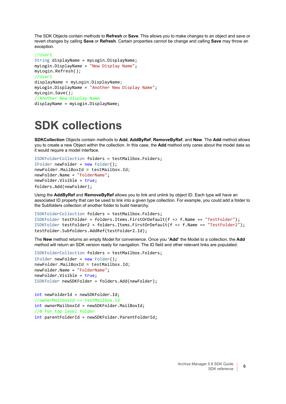The SDK Objects contain methods to **Refresh** or **Save**. This allows you to make changes to an object and save or revert changes by calling **Save** or **Refresh**. Certain properties cannot be change and calling **Save** may throw an exception.

```
//User1
String displayName = myLogin.DisplayName;
myLogin.DisplayName = "New Display Name";
myLogin.Refresh();
//User1
displayName = myLogin.DisplayName;
myLogin.DisplayName = "Another New Display Name";
myLogin.Save();
//Another New Display Name
displayName = myLogin.DisplayName;
```
## <span id="page-5-0"></span>**SDK collections**

**SDKCollection** Objects contain methods to **Add**, **AddByRef**, **RemoveByRef**, and **New**. The **Add** method allows you to create a new Object within the collection. In this case, the **Add** method only cares about the model data so it would require a model interface.

```
ISDKFolderCollection folders = testMailbox.Folders;
IFolder newFolder = new Folder();
newFolder.MailBoxId = testMailbox.Id;
newFolder.Name = "FolderName";
newFolder.Visible = true;
folders.Add(newFolder);
```
Using the **AddByRef** and **RemoveByRef** allows you to link and unlink by object ID. Each type will have an associated ID property that can be used to link into a given type collection. For example, you could add a folder to the Subfolders collection of another folder to build hierarchy.

```
ISDKFolderCollection folders = testMailbox.Folders;
ISDKFolder testFolder = folders.Items.FirstOrDefault(f => f.Name == "TestFolder");
ISDKFolder testFolder2 = folders.Items.FirstOrDefault(f => f.Name == "TestFolder2");
testFolder.Subfolders.AddRef(testFolder2.Id);
```
The **New** method returns an empty Model for convenience. Once you "**Add**" the Model to a collection, the **Add** method will return an SDK version ready for navigation. The ID field and other relevant links are populated.

```
ISDKFolderCollection folders = testMailbox.Folders;
IFolder newFolder = new Folder();
newFolder.MailBoxId = testMailbox.Id;
newFolder.Name = "FolderName";
newFolder.Visible = true;
ISDKFolder newSDKFolder = folders.Add(newFolder);
```

```
int newFolderId = newSDKFolder.Id;
//ownerMailboxId == testMailbox.Id
int ownerMailboxId = newSDKFolder.MailBoxId;
//0 for top level folder
int parentFolderId = newSDKFolder.ParentFolderId;
```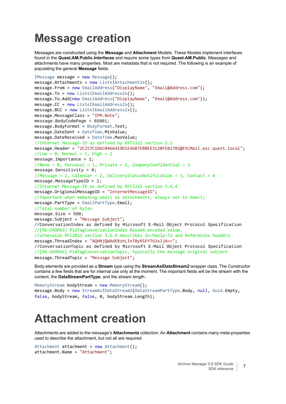### <span id="page-6-0"></span>**Message creation**

Messages are constructed using the **Message** and **Attachment** Models. These Models implement interfaces found in the **Quest.AM.Public.Interfaces** and require some types from **Quest.AM.Public**. Messages and attachments have many properties. Most are metadata that is not required. The following is an example of populating the general **Message** fields.

```
IMessage message = new Message();
message}.Attachments = new List<IAttachment2>();
message.From = new EmailAddress("DisplayName", "Email@Address.com");
message.To = new List<IEmailAddress2>();
message.To.Add(new EmailAddress("DisplayName", "Email@Address.com"));
message.CC = new List<IEmailAddress2>();
message.BCC = new List<IEmailAddress2>();
message.MessageClass = "IPM.Note";
message.BodyCodePage = 65001;
message.BodyFormat = BodyFormat.Text;
message.DateSent = DateTime.MinValue;
message.DateReceived = DateTime.MaxValue;
//Internet Message-ID as defined by RFC5322 section 2.2
message.Header = "2C257C1D6C0466419D1E46B7EB0EE3120FEB2702@ESCMail.esc.quest.local";
//Low = 0, Normal = 1, High = 2message.Importance = 1;
//None = \theta, Personal = 1, Private = 2, CompanyConfidential = 3
message.Sensitivity = 0;
//Message = 1, Calendar = 2, DeliveryStatusNotification = 3, Contact = 4
message.MessageTypeID = 1;
//Internet Message-ID as defined by RFC5322 section 3.6.4
message.OrigionalMessageID = "InternetMessageID";
//Important when embeding email as attachments, always set to Email;
message.PartType = EmailPartType.Email;
//Total number of bytes
message. Size = 500imessage.Subject = "Message Subject";
//ConversationIndex as defined by Microsoft E-Mail Object Protocol Specification 
//[MS-OXOMSG] PidTagConversationIndex Base64 encoded value,
//otherwise RFC2822 section 3.6.4 describes In-Reply-To and References headers
message.ThreadIndex = "AQHNjQWAdEBzhLInT0yR5EYT63xljA==";
//ConversationTopic as defined by Microsoft E-Mail Object Protocol Specification 
//[MS-OXOMSG] PidTagConversationTopic, typically the message original subject
message.ThreadTopic = "Message Subject";
```
Body elements are provided as a **Stream** type using the **StreamAsIDataStream2** wrapper class. The Constructor contains a few fields that are for internal use only at the moment. The important fields will be the stream with the content, the **DataStreamPartType**, and the stream length.

```
MemoryStream bodyStream = new MemoryStream();
message.Body = new StreamAsIDataStream2(DataStreamPartType.Body, null, Guid.Empty, 
false, bodyStream, false, 0, bodyStream.Length);
```
## <span id="page-6-1"></span>**Attachment creation**

Attachments are added to the message's **Attachments** collection. An **Attachment** contains many meta-properties used to describe the attachment, but not all are required.

```
Attachment attachment = new Attachment();
attachment.Name = "Attachment";
```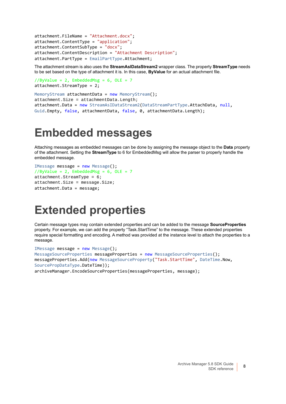```
attachment.FileName = "Attachment.docx";
attachment.ContentType = "application";
attachment.ContentSubType = "docx";
attachment.ContentDescription = "Attachment Description";
attachment.PartType = EmailPartType.Attachment;
```
The attachment stream is also uses the **StreamAsIDataStream2** wrapper class. The property **StreamType** needs to be set based on the type of attachment it is. In this case, **ByValue** for an actual attachment file.

```
//ByValue = 2, EmbeddedMsg = 6, OLE = 7attachment.StreamType = 2;
```

```
MemoryStream attachmentData = new MemoryStream();
attachment.Size = attachmentData.Length;
attachment.Data = new StreamAsIDataStream2(DataStreamPartType.AttachData, null, 
Guid.Empty, false, attachmentData, false, 0, attachmentData.Length);
```
### <span id="page-7-0"></span>**Embedded messages**

Attaching messages as embedded messages can be done by assigning the message object to the **Data** property of the attachment. Setting the **StreamType** to 6 for EmbeddedMsg will allow the parser to properly handle the embedded message.

```
IMessage message = new Message();
//ByValue = 2, EmbeddedMsg = 6, OLE = 7attachment.StreamType = 6;
attachment.Size = message.Size;
attachment.Data = message;
```
### <span id="page-7-1"></span>**Extended properties**

Certain message types may contain extended properties and can be added to the message **SourceProperties** property. For example, we can add the property "Task.StartTime" to the message. These extended properties require special formatting and encoding. A method was provided at the instance level to attach the properties to a message.

```
IMessage message = new Message();
MessageSourceProperties messageProperties = new MessageSourceProperties();
messageProperties.Add(new MessageSourceProperty("Task.StartTime", DateTime.Now, 
SourcePropDataType.DateTime));
archiveManager.EncodeSourceProperties(messageProperties, message);
```